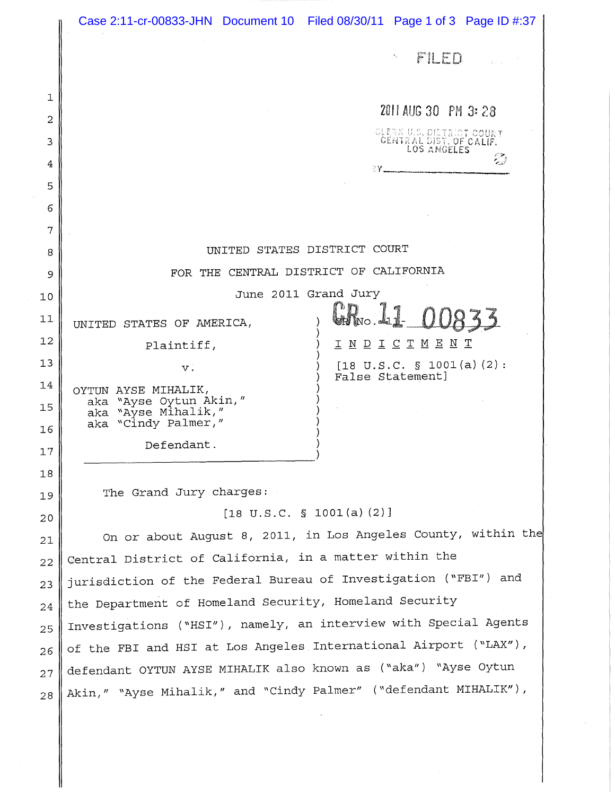|          |                                                                      | Case 2:11-cr-00833-JHN Document 10 Filed 08/30/11 Page 1 of 3 Page ID #:37 |
|----------|----------------------------------------------------------------------|----------------------------------------------------------------------------|
|          |                                                                      | FILED<br>$\tau_{\rm{g}}$ .                                                 |
|          |                                                                      |                                                                            |
| 1        |                                                                      | 2011 AUG 30 PM 3:28                                                        |
| 2        |                                                                      |                                                                            |
| 3        |                                                                      | CLERK U.S. DISTRICT COURT<br>CENTRAL DIST. OF CALIF.                       |
| 4        |                                                                      | <b>AVELLE COMMUNICATION</b>                                                |
| 5<br>6   |                                                                      |                                                                            |
| 7        |                                                                      |                                                                            |
| 8        | UNITED STATES DISTRICT COURT                                         |                                                                            |
| 9        | FOR THE CENTRAL DISTRICT OF CALIFORNIA                               |                                                                            |
| 10       | June 2011 Grand Jury                                                 |                                                                            |
| 11       | UNITED STATES OF AMERICA,                                            | CR No.41                                                                   |
| 12       | Plaintiff,                                                           | <u>I N D I C T M E N T</u>                                                 |
| 13       | $V$ .                                                                | $[18 \text{ U.S.C. } $ 1001(a)(2)$ :<br>False Statement]                   |
| 14       | OYTUN AYSE MIHALIK,                                                  |                                                                            |
| 15       | aka "Ayse Oytun Akin,"<br>aka "Ayse Mihalik,"<br>aka "Cindy Palmer," |                                                                            |
| 16       | Defendant.                                                           |                                                                            |
| 17       |                                                                      |                                                                            |
| 18<br>19 | The Grand Jury charges:                                              |                                                                            |
| 20       | $[18 \text{ U.S.C. } $ 1001(a) (2)]$                                 |                                                                            |
| 21       | On or about August 8, 2011, in Los Angeles County, within the        |                                                                            |
| 22       | Central District of California, in a matter within the               |                                                                            |
| 23       | jurisdiction of the Federal Bureau of Investigation ("FBI") and      |                                                                            |
| 24       | the Department of Homeland Security, Homeland Security               |                                                                            |
| 25       | Investigations ("HSI"), namely, an interview with Special Agents     |                                                                            |
| 26       | of the FBI and HSI at Los Angeles International Airport ("LAX"),     |                                                                            |
| 27       | defendant OYTUN AYSE MIHALIK also known as ("aka") "Ayse Oytun       |                                                                            |
| 28       | Akin," "Ayse Mihalik," and "Cindy Palmer" ("defendant MIHALIK"),     |                                                                            |
|          |                                                                      |                                                                            |
|          |                                                                      |                                                                            |
|          |                                                                      |                                                                            |

∥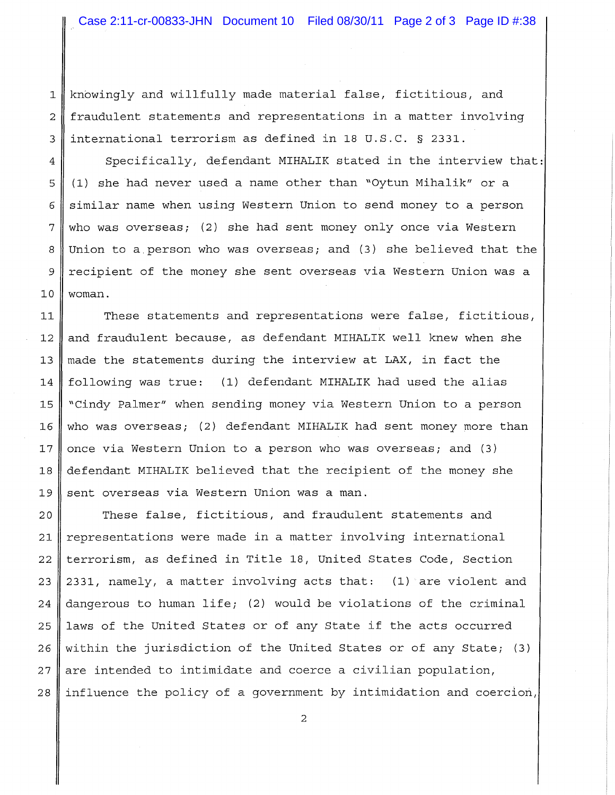1 knowingly and willfully made material false, fictitious, and 2 fraudulent statements and representations in a matter involving 3 international terrorism as defined in 18 U.S.C. § 2331.

4 Specifically, defendant MIHALIK stated in the interview that: 5 (1) she had never used a name other than "Oytun Mihalik" or a 6 similar name when using Western Union to send money to a person  $7 \parallel$  who was overseas; (2) she had sent money only once via Western 8 Union to a person who was overseas; and (3) she believed that the 9 recipient of the money she sent overseas via Western Union was a  $10 \parallel$  woman.

11 These statements and representations were false, fictitious, 12 and fraudulent because, as defendant MIHALIK well knew when she 13 made the statements during the interview at LAX, in fact the 14 following was true: (1) defendant MIHALIK had used the alias 15 "Cindy Palmer" when sending money via Western Union to a person 16 who was overseas; (2) defendant MIHALIK had sent money more than 17 once via Western Union to a person who was overseas; and  $(3)$ 18 defendant MIHALIK believed that the recipient of the money she 19 sent overseas via Western Union was a man.

  $\parallel$  These false, fictitious, and fraudulent statements and representations were made in a matter involving international terrorism, as defined in Title 18, United States Code, Section  $\parallel$  2331, namely, a matter involving acts that: (1) are violent and 24 dangerous to human life; (2) would be violations of the criminal laws of the United States or of any State if the acts occurred 26 within the jurisdiction of the United States or of any State; (3) are intended to intimidate and coerce a civilian population, influence the policy of a government by intimidation and coercion,

2